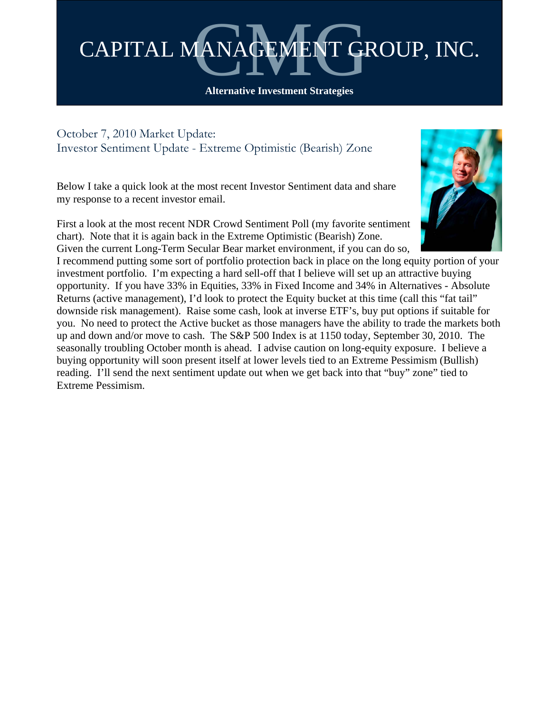

**Alternative Investment Strategies** 

October 7, 2010 Market Update: Investor Sentiment Update - Extreme Optimistic (Bearish) Zone

Below I take a quick look at the most recent Investor Sentiment data and share my response to a recent investor email.

First a look at the most recent NDR Crowd Sentiment Poll (my favorite sentiment chart). Note that it is again back in the Extreme Optimistic (Bearish) Zone. Given the current Long-Term Secular Bear market environment, if you can do so,



I recommend putting some sort of portfolio protection back in place on the long equity portion of your investment portfolio. I'm expecting a hard sell-off that I believe will set up an attractive buying opportunity. If you have 33% in Equities, 33% in Fixed Income and 34% in Alternatives - Absolute Returns (active management), I'd look to protect the Equity bucket at this time (call this "fat tail" downside risk management). Raise some cash, look at inverse ETF's, buy put options if suitable for you. No need to protect the Active bucket as those managers have the ability to trade the markets both up and down and/or move to cash. The S&P 500 Index is at 1150 today, September 30, 2010. The seasonally troubling October month is ahead. I advise caution on long-equity exposure. I believe a buying opportunity will soon present itself at lower levels tied to an Extreme Pessimism (Bullish) reading. I'll send the next sentiment update out when we get back into that "buy" zone" tied to Extreme Pessimism.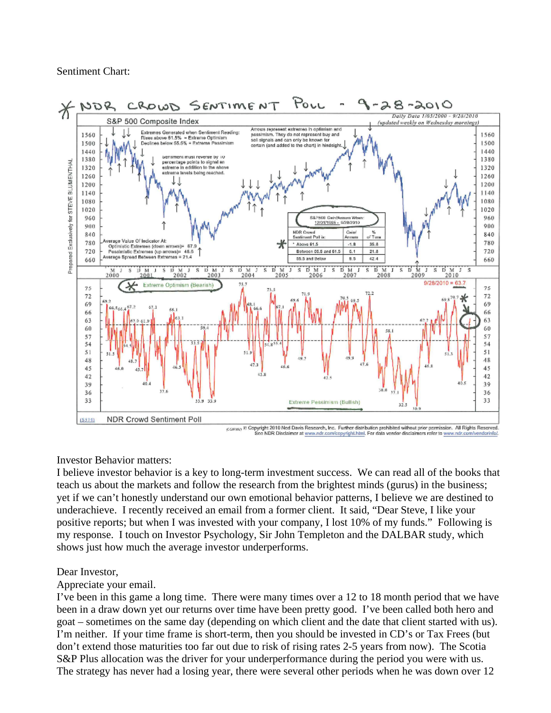Sentiment Chart:



## Investor Behavior matters:

I believe investor behavior is a key to long-term investment success. We can read all of the books that teach us about the markets and follow the research from the brightest minds (gurus) in the business; yet if we can't honestly understand our own emotional behavior patterns, I believe we are destined to underachieve. I recently received an email from a former client. It said, "Dear Steve, I like your positive reports; but when I was invested with your company, I lost 10% of my funds." Following is my response. I touch on Investor Psychology, Sir John Templeton and the DALBAR study, which shows just how much the average investor underperforms.

## Dear Investor,

Appreciate your email.

I've been in this game a long time. There were many times over a 12 to 18 month period that we have been in a draw down yet our returns over time have been pretty good. I've been called both hero and goat – sometimes on the same day (depending on which client and the date that client started with us). I'm neither. If your time frame is short-term, then you should be invested in CD's or Tax Frees (but don't extend those maturities too far out due to risk of rising rates 2-5 years from now). The Scotia S&P Plus allocation was the driver for your underperformance during the period you were with us. The strategy has never had a losing year, there were several other periods when he was down over 12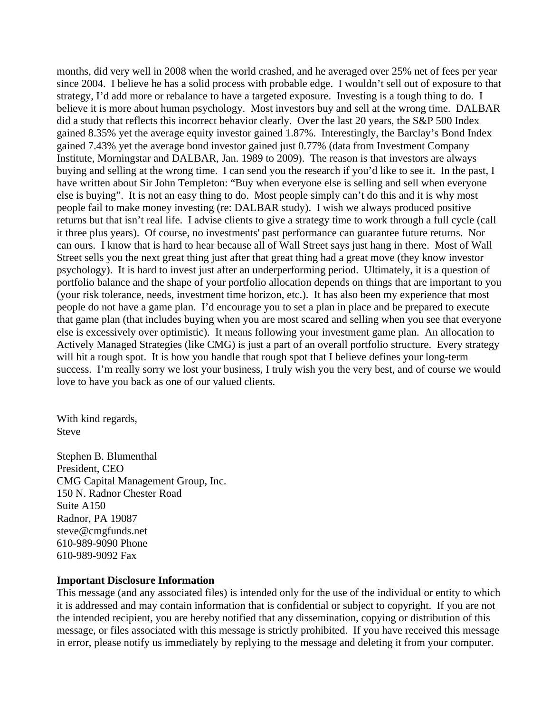months, did very well in 2008 when the world crashed, and he averaged over 25% net of fees per year since 2004. I believe he has a solid process with probable edge. I wouldn't sell out of exposure to that strategy, I'd add more or rebalance to have a targeted exposure. Investing is a tough thing to do. I believe it is more about human psychology. Most investors buy and sell at the wrong time. DALBAR did a study that reflects this incorrect behavior clearly. Over the last 20 years, the S&P 500 Index gained 8.35% yet the average equity investor gained 1.87%. Interestingly, the Barclay's Bond Index gained 7.43% yet the average bond investor gained just 0.77% (data from Investment Company Institute, Morningstar and DALBAR, Jan. 1989 to 2009). The reason is that investors are always buying and selling at the wrong time. I can send you the research if you'd like to see it. In the past, I have written about Sir John Templeton: "Buy when everyone else is selling and sell when everyone else is buying". It is not an easy thing to do. Most people simply can't do this and it is why most people fail to make money investing (re: DALBAR study). I wish we always produced positive returns but that isn't real life. I advise clients to give a strategy time to work through a full cycle (call it three plus years). Of course, no investments' past performance can guarantee future returns. Nor can ours. I know that is hard to hear because all of Wall Street says just hang in there. Most of Wall Street sells you the next great thing just after that great thing had a great move (they know investor psychology). It is hard to invest just after an underperforming period. Ultimately, it is a question of portfolio balance and the shape of your portfolio allocation depends on things that are important to you (your risk tolerance, needs, investment time horizon, etc.). It has also been my experience that most people do not have a game plan. I'd encourage you to set a plan in place and be prepared to execute that game plan (that includes buying when you are most scared and selling when you see that everyone else is excessively over optimistic). It means following your investment game plan. An allocation to Actively Managed Strategies (like CMG) is just a part of an overall portfolio structure. Every strategy will hit a rough spot. It is how you handle that rough spot that I believe defines your long-term success. I'm really sorry we lost your business, I truly wish you the very best, and of course we would love to have you back as one of our valued clients.

With kind regards, Steve

Stephen B. Blumenthal President, CEO CMG Capital Management Group, Inc. 150 N. Radnor Chester Road Suite A150 Radnor, PA 19087 steve@cmgfunds.net 610-989-9090 Phone 610-989-9092 Fax

## **Important Disclosure Information**

This message (and any associated files) is intended only for the use of the individual or entity to which it is addressed and may contain information that is confidential or subject to copyright. If you are not the intended recipient, you are hereby notified that any dissemination, copying or distribution of this message, or files associated with this message is strictly prohibited. If you have received this message in error, please notify us immediately by replying to the message and deleting it from your computer.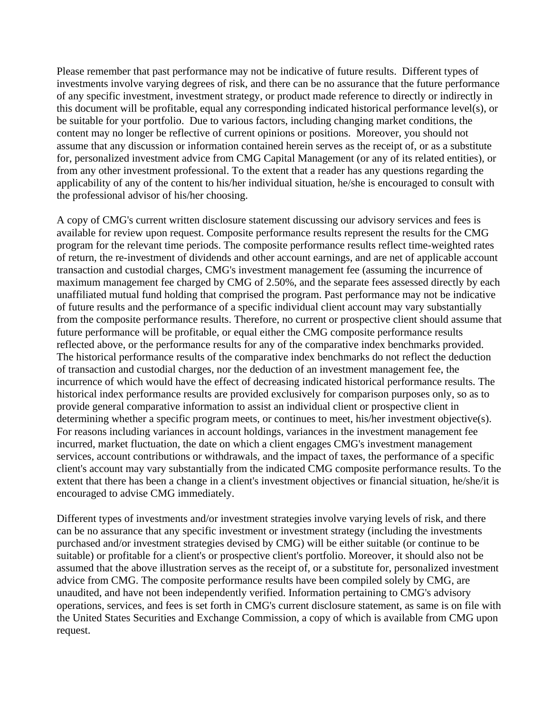Please remember that past performance may not be indicative of future results. Different types of investments involve varying degrees of risk, and there can be no assurance that the future performance of any specific investment, investment strategy, or product made reference to directly or indirectly in this document will be profitable, equal any corresponding indicated historical performance level(s), or be suitable for your portfolio. Due to various factors, including changing market conditions, the content may no longer be reflective of current opinions or positions. Moreover, you should not assume that any discussion or information contained herein serves as the receipt of, or as a substitute for, personalized investment advice from CMG Capital Management (or any of its related entities), or from any other investment professional. To the extent that a reader has any questions regarding the applicability of any of the content to his/her individual situation, he/she is encouraged to consult with the professional advisor of his/her choosing.

A copy of CMG's current written disclosure statement discussing our advisory services and fees is available for review upon request. Composite performance results represent the results for the CMG program for the relevant time periods. The composite performance results reflect time-weighted rates of return, the re-investment of dividends and other account earnings, and are net of applicable account transaction and custodial charges, CMG's investment management fee (assuming the incurrence of maximum management fee charged by CMG of 2.50%, and the separate fees assessed directly by each unaffiliated mutual fund holding that comprised the program. Past performance may not be indicative of future results and the performance of a specific individual client account may vary substantially from the composite performance results. Therefore, no current or prospective client should assume that future performance will be profitable, or equal either the CMG composite performance results reflected above, or the performance results for any of the comparative index benchmarks provided. The historical performance results of the comparative index benchmarks do not reflect the deduction of transaction and custodial charges, nor the deduction of an investment management fee, the incurrence of which would have the effect of decreasing indicated historical performance results. The historical index performance results are provided exclusively for comparison purposes only, so as to provide general comparative information to assist an individual client or prospective client in determining whether a specific program meets, or continues to meet, his/her investment objective(s). For reasons including variances in account holdings, variances in the investment management fee incurred, market fluctuation, the date on which a client engages CMG's investment management services, account contributions or withdrawals, and the impact of taxes, the performance of a specific client's account may vary substantially from the indicated CMG composite performance results. To the extent that there has been a change in a client's investment objectives or financial situation, he/she/it is encouraged to advise CMG immediately.

Different types of investments and/or investment strategies involve varying levels of risk, and there can be no assurance that any specific investment or investment strategy (including the investments purchased and/or investment strategies devised by CMG) will be either suitable (or continue to be suitable) or profitable for a client's or prospective client's portfolio. Moreover, it should also not be assumed that the above illustration serves as the receipt of, or a substitute for, personalized investment advice from CMG. The composite performance results have been compiled solely by CMG, are unaudited, and have not been independently verified. Information pertaining to CMG's advisory operations, services, and fees is set forth in CMG's current disclosure statement, as same is on file with the United States Securities and Exchange Commission, a copy of which is available from CMG upon request.